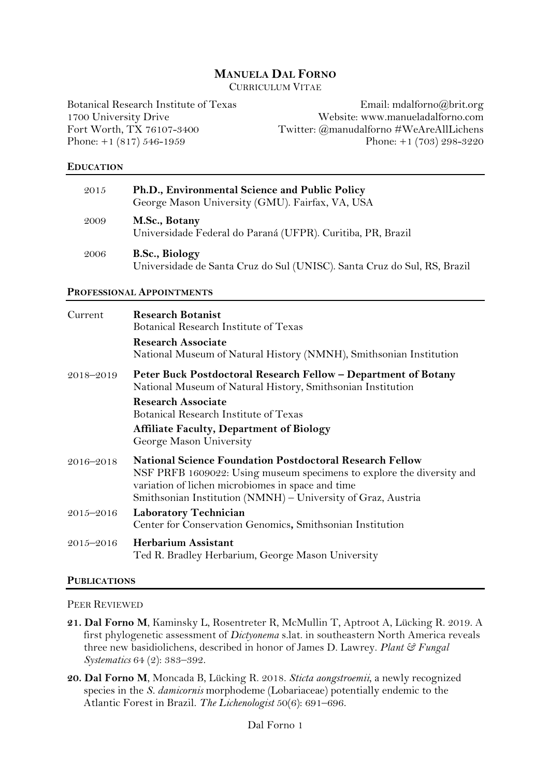## **MANUELA DAL FORNO**

CURRICULUM VITAE

Botanical Research Institute of Texas 1700 University Drive Fort Worth, TX 76107-3400 Phone: +1 (817) 546-1959

Email: mdalforno@brit.org Website: www.manueladalforno.com Twitter: @manudalforno #WeAreAllLichens Phone: +1 (703) 298-3220

#### **EDUCATION**

| 2015 | Ph.D., Environmental Science and Public Policy<br>George Mason University (GMU). Fairfax, VA, USA |
|------|---------------------------------------------------------------------------------------------------|
| 2009 | M.Sc., Botany<br>Universidade Federal do Paraná (UFPR). Curitiba, PR, Brazil                      |
| 2006 | <b>B.Sc., Biology</b><br>Universidade de Santa Cruz do Sul (UNISC). Santa Cruz do Sul, RS, Brazil |

#### **PROFESSIONAL APPOINTMENTS**

| Current   | <b>Research Botanist</b><br>Botanical Research Institute of Texas                                                                                                                             |
|-----------|-----------------------------------------------------------------------------------------------------------------------------------------------------------------------------------------------|
|           | <b>Research Associate</b><br>National Museum of Natural History (NMNH), Smithsonian Institution                                                                                               |
| 2018-2019 | Peter Buck Postdoctoral Research Fellow - Department of Botany<br>National Museum of Natural History, Smithsonian Institution                                                                 |
|           | <b>Research Associate</b>                                                                                                                                                                     |
|           | Botanical Research Institute of Texas                                                                                                                                                         |
|           | <b>Affiliate Faculty, Department of Biology</b><br>George Mason University                                                                                                                    |
| 2016-2018 | <b>National Science Foundation Postdoctoral Research Fellow</b><br>NSF PRFB 1609022: Using museum specimens to explore the diversity and<br>variation of lichen microbiomes in space and time |
|           | Smithsonian Institution (NMNH) - University of Graz, Austria                                                                                                                                  |
| 2015-2016 | <b>Laboratory Technician</b><br>Center for Conservation Genomics, Smithsonian Institution                                                                                                     |
| 2015-2016 | <b>Herbarium Assistant</b><br>Ted R. Bradley Herbarium, George Mason University                                                                                                               |

#### **PUBLICATIONS**

PEER REVIEWED

- **21. Dal Forno M**, Kaminsky L, Rosentreter R, McMullin T, Aptroot A, Lücking R. 2019. A first phylogenetic assessment of *Dictyonema* s.lat. in southeastern North America reveals three new basidiolichens, described in honor of James D. Lawrey. *Plant & Fungal Systematics* 64 (2): 383–392.
- **20. Dal Forno M**, Moncada B, Lücking R. 2018. *Sticta aongstroemii*, a newly recognized species in the *S. damicornis* morphodeme (Lobariaceae) potentially endemic to the Atlantic Forest in Brazil. *The Lichenologist* 50(6): 691–696.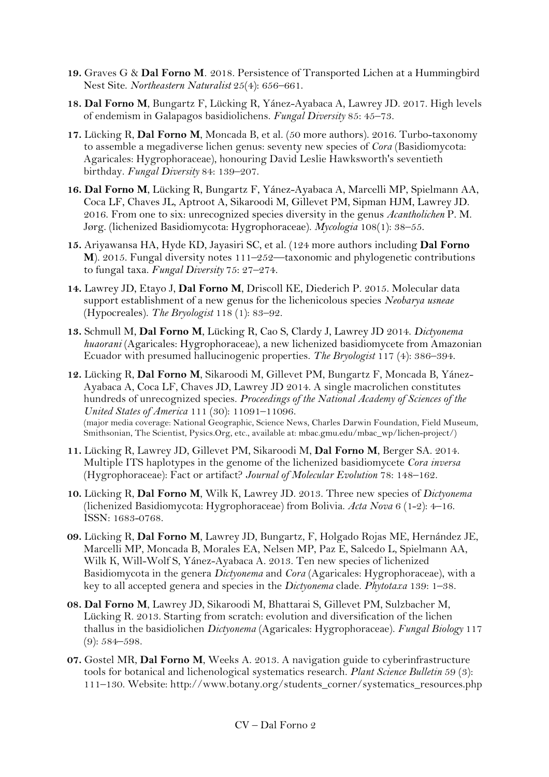- **19.** Graves G & **Dal Forno M***.* 2018. Persistence of Transported Lichen at a Hummingbird Nest Site. *Northeastern Naturalist* 25(4): 656–661.
- **18. Dal Forno M**, Bungartz F, Lücking R, Yánez-Ayabaca A, Lawrey JD. 2017. High levels of endemism in Galapagos basidiolichens. *Fungal Diversity* 85: 45–73.
- **17.** Lücking R, **Dal Forno M**, Moncada B, et al. (50 more authors). 2016. Turbo-taxonomy to assemble a megadiverse lichen genus: seventy new species of *Cora* (Basidiomycota: Agaricales: Hygrophoraceae), honouring David Leslie Hawksworth's seventieth birthday. *Fungal Diversity* 84: 139–207.
- **16. Dal Forno M**, Lücking R, Bungartz F, Yánez-Ayabaca A, Marcelli MP, Spielmann AA, Coca LF, Chaves JL, Aptroot A, Sikaroodi M, Gillevet PM, Sipman HJM, Lawrey JD. 2016. From one to six: unrecognized species diversity in the genus *Acantholichen* P. M. Jørg. (lichenized Basidiomycota: Hygrophoraceae). *Mycologia* 108(1): 38–55.
- **15.** Ariyawansa HA, Hyde KD, Jayasiri SC, et al. (124 more authors including **Dal Forno M**). 2015. Fungal diversity notes 111–252—taxonomic and phylogenetic contributions to fungal taxa. *Fungal Diversity* 75: 27–274.
- **14.** Lawrey JD, Etayo J, **Dal Forno M**, Driscoll KE, Diederich P. 2015. Molecular data support establishment of a new genus for the lichenicolous species *Neobarya usneae* (Hypocreales). *The Bryologist* 118 (1): 83–92.
- **13.** Schmull M, **Dal Forno M**, Lücking R, Cao S, Clardy J, Lawrey JD 2014. *Dictyonema huaorani* (Agaricales: Hygrophoraceae), a new lichenized basidiomycete from Amazonian Ecuador with presumed hallucinogenic properties. *The Bryologist* 117 (4): 386–394.
- **12.** Lücking R, **Dal Forno M**, Sikaroodi M, Gillevet PM, Bungartz F, Moncada B, Yánez-Ayabaca A, Coca LF, Chaves JD, Lawrey JD 2014. A single macrolichen constitutes hundreds of unrecognized species. *Proceedings of the National Academy of Sciences of the United States of America* 111 (30): 11091–11096. (major media coverage: National Geographic, Science News, Charles Darwin Foundation, Field Museum, Smithsonian, The Scientist, Pysics.Org, etc., available at: mbac.gmu.edu/mbac\_wp/lichen-project/)
- **11.** Lücking R, Lawrey JD, Gillevet PM, Sikaroodi M, **Dal Forno M**, Berger SA. 2014. Multiple ITS haplotypes in the genome of the lichenized basidiomycete *Cora inversa* (Hygrophoraceae): Fact or artifact? *Journal of Molecular Evolution* 78: 148–162.
- **10.** Lücking R, **Dal Forno M**, Wilk K, Lawrey JD. 2013. Three new species of *Dictyonema*  (lichenized Basidiomycota: Hygrophoraceae) from Bolivia. *Acta Nova* 6 (1-2): 4–16. ISSN: 1683-0768.
- **09.** Lücking R, **Dal Forno M**, Lawrey JD, Bungartz, F, Holgado Rojas ME, Hernández JE, Marcelli MP, Moncada B, Morales EA, Nelsen MP, Paz E, Salcedo L, Spielmann AA, Wilk K, Will-Wolf S, Yánez-Ayabaca A. 2013. Ten new species of lichenized Basidiomycota in the genera *Dictyonema* and *Cora* (Agaricales: Hygrophoraceae), with a key to all accepted genera and species in the *Dictyonema* clade. *Phytotaxa* 139: 1–38.
- **08. Dal Forno M**, Lawrey JD, Sikaroodi M, Bhattarai S, Gillevet PM, Sulzbacher M, Lücking R. 2013. Starting from scratch: evolution and diversification of the lichen thallus in the basidiolichen *Dictyonema* (Agaricales: Hygrophoraceae). *Fungal Biology* 117 (9): 584–598.
- **07.** Gostel MR, **Dal Forno M**, Weeks A. 2013. A navigation guide to cyberinfrastructure tools for botanical and lichenological systematics research. *Plant Science Bulletin* 59 (3): 111–130. Website: http://www.botany.org/students\_corner/systematics\_resources.php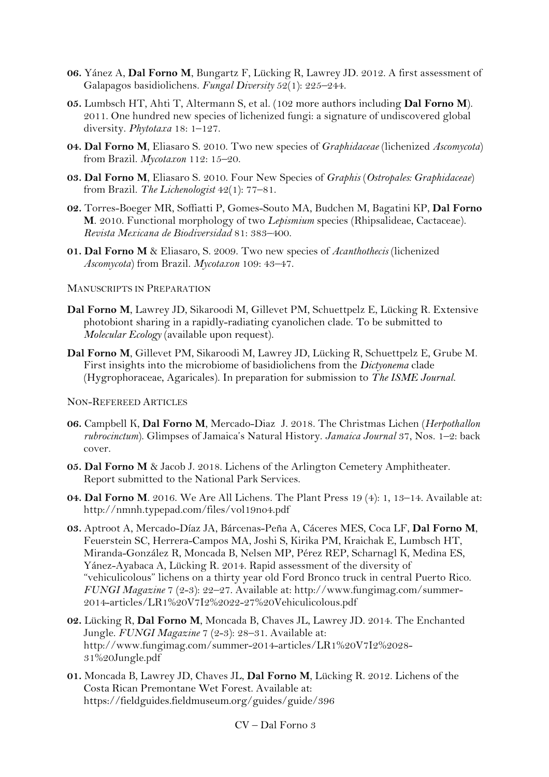- **06.** Yánez A, **Dal Forno M**, Bungartz F, Lücking R, Lawrey JD. 2012. A first assessment of Galapagos basidiolichens. *Fungal Diversity* 52(1): 225–244.
- **05.** Lumbsch HT, Ahti T, Altermann S, et al. (102 more authors including **Dal Forno M**). 2011. One hundred new species of lichenized fungi: a signature of undiscovered global diversity. *Phytotaxa* 18: 1–127.
- **04. Dal Forno M**, Eliasaro S. 2010. Two new species of *Graphidaceae* (lichenized *Ascomycota*) from Brazil. *Mycotaxon* 112: 15–20.
- **03. Dal Forno M**, Eliasaro S. 2010. Four New Species of *Graphis* (*Ostropales: Graphidaceae*) from Brazil. *The Lichenologist* 42(1): 77–81.
- **02.** Torres-Boeger MR, Soffiatti P, Gomes-Souto MA, Budchen M, Bagatini KP, **Dal Forno M**. 2010. Functional morphology of two *Lepismium* species (Rhipsalideae, Cactaceae). *Revista Mexicana de Biodiversidad* 81: 383–400.
- **01. Dal Forno M** & Eliasaro, S. 2009. Two new species of *Acanthothecis* (lichenized *Ascomycota*) from Brazil. *Mycotaxon* 109: 43–47.

### MANUSCRIPTS IN PREPARATION

- **Dal Forno M**, Lawrey JD, Sikaroodi M, Gillevet PM, Schuettpelz E, Lücking R. Extensive photobiont sharing in a rapidly-radiating cyanolichen clade. To be submitted to *Molecular Ecology* (available upon request).
- **Dal Forno M**, Gillevet PM, Sikaroodi M, Lawrey JD, Lücking R, Schuettpelz E, Grube M. First insights into the microbiome of basidiolichens from the *Dictyonema* clade (Hygrophoraceae, Agaricales). In preparation for submission to *The ISME Journal.*

#### NON-REFEREED ARTICLES

- **06.** Campbell K, **Dal Forno M**, Mercado-DiazJ. 2018. The Christmas Lichen (*Herpothallon rubrocinctum*). Glimpses of Jamaica's Natural History. *Jamaica Journal* 37, Nos. 1–2: back cover.
- **05. Dal Forno M** & Jacob J. 2018. Lichens of the Arlington Cemetery Amphitheater. Report submitted to the National Park Services.
- **04. Dal Forno M**. 2016. We Are All Lichens. The Plant Press 19 (4): 1, 13–14. Available at: http://nmnh.typepad.com/files/vol19no4.pdf
- **03.** Aptroot A, Mercado-Díaz JA, Bárcenas-Peña A, Cáceres MES, Coca LF, **Dal Forno M**, Feuerstein SC, Herrera-Campos MA, Joshi S, Kirika PM, Kraichak E, Lumbsch HT, Miranda-González R, Moncada B, Nelsen MP, Pérez REP, Scharnagl K, Medina ES, Yánez-Ayabaca A, Lücking R. 2014. Rapid assessment of the diversity of "vehiculicolous" lichens on a thirty year old Ford Bronco truck in central Puerto Rico. *FUNGI Magazine* 7 (2-3): 22–27. Available at: http://www.fungimag.com/summer-2014-articles/LR1%20V7I2%2022-27%20Vehiculicolous.pdf
- **02.** Lücking R, **Dal Forno M**, Moncada B, Chaves JL, Lawrey JD. 2014. The Enchanted Jungle. FUNGI Magazine 7 (2-3): 28-31. Available at: http://www.fungimag.com/summer-2014-articles/LR1%20V7I2%2028- 31%20Jungle.pdf
- **01.** Moncada B, Lawrey JD, Chaves JL, **Dal Forno M**, Lücking R. 2012. Lichens of the Costa Rican Premontane Wet Forest. Available at: https://fieldguides.fieldmuseum.org/guides/guide/396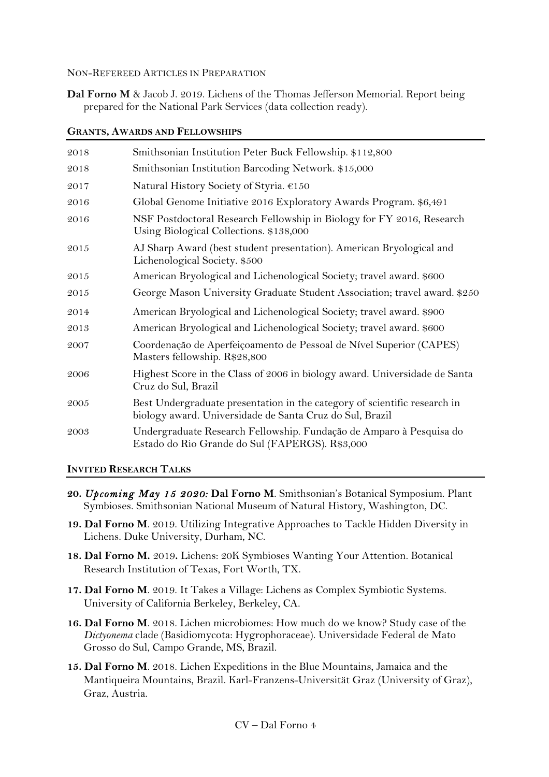NON-REFEREED ARTICLES IN PREPARATION

**Dal Forno M** & Jacob J. 2019. Lichens of the Thomas Jefferson Memorial. Report being prepared for the National Park Services (data collection ready).

| 2018 | Smithsonian Institution Peter Buck Fellowship. \$112,800                                                                              |
|------|---------------------------------------------------------------------------------------------------------------------------------------|
| 2018 | Smithsonian Institution Barcoding Network. \$15,000                                                                                   |
| 2017 | Natural History Society of Styria. €150                                                                                               |
| 2016 | Global Genome Initiative 2016 Exploratory Awards Program. \$6,491                                                                     |
| 2016 | NSF Postdoctoral Research Fellowship in Biology for FY 2016, Research<br>Using Biological Collections. \$138,000                      |
| 2015 | AJ Sharp Award (best student presentation). American Bryological and<br>Lichenological Society. \$500                                 |
| 2015 | American Bryological and Lichenological Society; travel award. \$600                                                                  |
| 2015 | George Mason University Graduate Student Association; travel award. \$250                                                             |
| 2014 | American Bryological and Lichenological Society; travel award. \$900                                                                  |
| 2013 | American Bryological and Lichenological Society; travel award. \$600                                                                  |
| 2007 | Coordenação de Aperfeiçoamento de Pessoal de Nível Superior (CAPES)<br>Masters fellowship. R\$28,800                                  |
| 2006 | Highest Score in the Class of 2006 in biology award. Universidade de Santa<br>Cruz do Sul, Brazil                                     |
| 2005 | Best Undergraduate presentation in the category of scientific research in<br>biology award. Universidade de Santa Cruz do Sul, Brazil |
| 2003 | Undergraduate Research Fellowship. Fundação de Amparo à Pesquisa do<br>Estado do Rio Grande do Sul (FAPERGS). R\$3,000                |

### **GRANTS, AWARDS AND FELLOWSHIPS**

**INVITED RESEARCH TALKS**

- **20.** *Upcoming May 15 2020:* **Dal Forno M**. Smithsonian's Botanical Symposium. Plant Symbioses. Smithsonian National Museum of Natural History, Washington, DC.
- **19. Dal Forno M**. 2019. Utilizing Integrative Approaches to Tackle Hidden Diversity in Lichens. Duke University, Durham, NC.
- **18. Dal Forno M.** 2019**.** Lichens: 20K Symbioses Wanting Your Attention. Botanical Research Institution of Texas, Fort Worth, TX.
- **17. Dal Forno M**. 2019. It Takes a Village: Lichens as Complex Symbiotic Systems. University of California Berkeley, Berkeley, CA.
- **16. Dal Forno M**. 2018. Lichen microbiomes: How much do we know? Study case of the *Dictyonema* clade (Basidiomycota: Hygrophoraceae). Universidade Federal de Mato Grosso do Sul, Campo Grande, MS, Brazil.
- **15. Dal Forno M**. 2018. Lichen Expeditions in the Blue Mountains, Jamaica and the Mantiqueira Mountains, Brazil. Karl-Franzens-Universität Graz (University of Graz), Graz, Austria.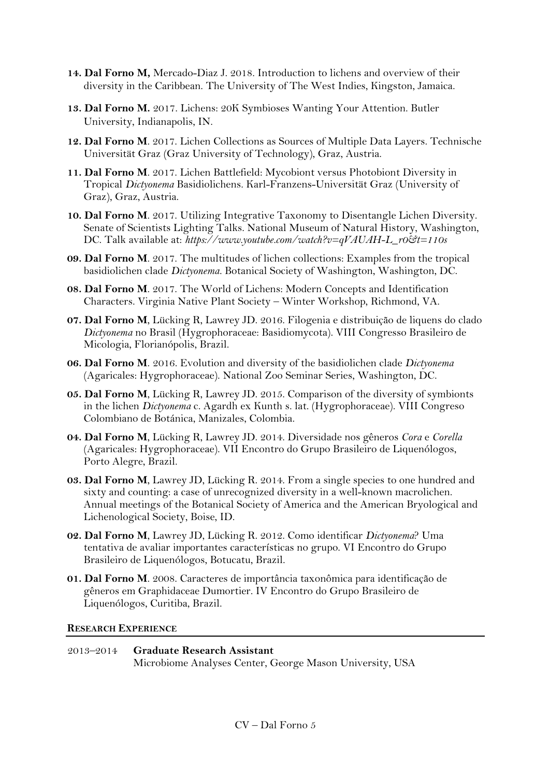- **14. Dal Forno M,** Mercado-Diaz J. 2018. Introduction to lichens and overview of their diversity in the Caribbean. The University of The West Indies, Kingston, Jamaica.
- **13. Dal Forno M.** 2017. Lichens: 20K Symbioses Wanting Your Attention. Butler University, Indianapolis, IN.
- **12. Dal Forno M**. 2017. Lichen Collections as Sources of Multiple Data Layers. Technische Universität Graz (Graz University of Technology), Graz, Austria.
- **11. Dal Forno M**. 2017. Lichen Battlefield: Mycobiont versus Photobiont Diversity in Tropical *Dictyonema* Basidiolichens. Karl-Franzens-Universität Graz (University of Graz), Graz, Austria.
- **10. Dal Forno M**. 2017. Utilizing Integrative Taxonomy to Disentangle Lichen Diversity. Senate of Scientists Lighting Talks. National Museum of Natural History, Washington, DC. Talk available at: *https://www.youtube.com/watch?v=qVAUAH-L\_r0&t=110s*
- **09. Dal Forno M**. 2017. The multitudes of lichen collections: Examples from the tropical basidiolichen clade *Dictyonema*. Botanical Society of Washington, Washington, DC.
- **08. Dal Forno M**. 2017. The World of Lichens: Modern Concepts and Identification Characters. Virginia Native Plant Society – Winter Workshop, Richmond, VA.
- **07. Dal Forno M**, Lücking R, Lawrey JD. 2016. Filogenia e distribuição de liquens do clado *Dictyonema* no Brasil (Hygrophoraceae: Basidiomycota). VIII Congresso Brasileiro de Micologia, Florianópolis, Brazil.
- **06. Dal Forno M**. 2016. Evolution and diversity of the basidiolichen clade *Dictyonema* (Agaricales: Hygrophoraceae). National Zoo Seminar Series, Washington, DC.
- **05. Dal Forno M**, Lücking R, Lawrey JD. 2015. Comparison of the diversity of symbionts in the lichen *Dictyonema* c. Agardh ex Kunth s. lat. (Hygrophoraceae). VIII Congreso Colombiano de Botánica, Manizales, Colombia.
- **04. Dal Forno M**, Lücking R, Lawrey JD. 2014. Diversidade nos gêneros *Cora* e *Corella* (Agaricales: Hygrophoraceae). VII Encontro do Grupo Brasileiro de Liquenólogos, Porto Alegre, Brazil.
- **03. Dal Forno M**, Lawrey JD, Lücking R. 2014. From a single species to one hundred and sixty and counting: a case of unrecognized diversity in a well-known macrolichen. Annual meetings of the Botanical Society of America and the American Bryological and Lichenological Society, Boise, ID.
- **02. Dal Forno M**, Lawrey JD, Lücking R. 2012. Como identificar *Dictyonema*? Uma tentativa de avaliar importantes características no grupo. VI Encontro do Grupo Brasileiro de Liquenólogos, Botucatu, Brazil.
- **01. Dal Forno M**. 2008. Caracteres de importância taxonômica para identificação de gêneros em Graphidaceae Dumortier. IV Encontro do Grupo Brasileiro de Liquenólogos, Curitiba, Brazil.

### **RESEARCH EXPERIENCE**

2013–2014 **Graduate Research Assistant** Microbiome Analyses Center, George Mason University, USA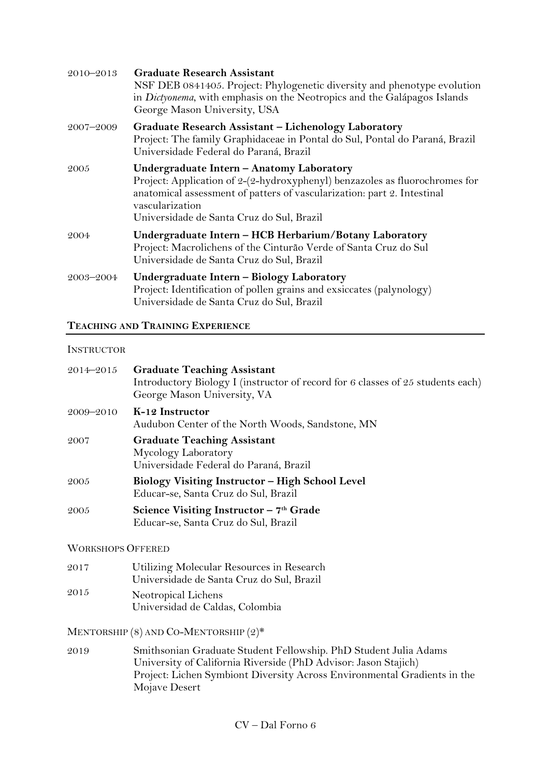| $2010 - 2013$ | <b>Graduate Research Assistant</b><br>NSF DEB 0841405. Project: Phylogenetic diversity and phenotype evolution<br>in Dictyonema, with emphasis on the Neotropics and the Galápagos Islands<br>George Mason University, USA                                          |
|---------------|---------------------------------------------------------------------------------------------------------------------------------------------------------------------------------------------------------------------------------------------------------------------|
| 2007–2009     | Graduate Research Assistant - Lichenology Laboratory<br>Project: The family Graphidaceae in Pontal do Sul, Pontal do Paraná, Brazil<br>Universidade Federal do Paraná, Brazil                                                                                       |
| 2005          | Undergraduate Intern - Anatomy Laboratory<br>Project: Application of 2-(2-hydroxyphenyl) benzazoles as fluorochromes for<br>anatomical assessment of patters of vascularization: part 2. Intestinal<br>vascularization<br>Universidade de Santa Cruz do Sul, Brazil |
| 2004          | Undergraduate Intern - HCB Herbarium/Botany Laboratory<br>Project: Macrolichens of the Cinturão Verde of Santa Cruz do Sul<br>Universidade de Santa Cruz do Sul, Brazil                                                                                             |
| 2003-2004     | Undergraduate Intern - Biology Laboratory<br>Project: Identification of pollen grains and exsiccates (palynology)<br>Universidade de Santa Cruz do Sul, Brazil                                                                                                      |

### **TEACHING AND TRAINING EXPERIENCE**

### **INSTRUCTOR**

| 2014-2015                | <b>Graduate Teaching Assistant</b><br>Introductory Biology I (instructor of record for 6 classes of 25 students each)<br>George Mason University, VA |
|--------------------------|------------------------------------------------------------------------------------------------------------------------------------------------------|
| 2009-2010                | K-12 Instructor<br>Audubon Center of the North Woods, Sandstone, MN                                                                                  |
| 2007                     | <b>Graduate Teaching Assistant</b><br>Mycology Laboratory<br>Universidade Federal do Paraná, Brazil                                                  |
| 2005                     | <b>Biology Visiting Instructor – High School Level</b><br>Educar-se, Santa Cruz do Sul, Brazil                                                       |
| 2005                     | Science Visiting Instructor $-7th$ Grade<br>Educar-se, Santa Cruz do Sul, Brazil                                                                     |
| <b>WORKSHOPS OFFERED</b> |                                                                                                                                                      |
| 2017                     | Utilizing Molecular Resources in Research<br>Universidade de Santa Cruz do Sul, Brazil                                                               |
| 2015                     | Neotropical Lichens<br>Universidad de Caldas, Colombia                                                                                               |

MENTORSHIP (8) AND CO-MENTORSHIP (2)\*

2019 Smithsonian Graduate Student Fellowship. PhD Student Julia Adams University of California Riverside (PhD Advisor: Jason Stajich) Project: Lichen Symbiont Diversity Across Environmental Gradients in the Mojave Desert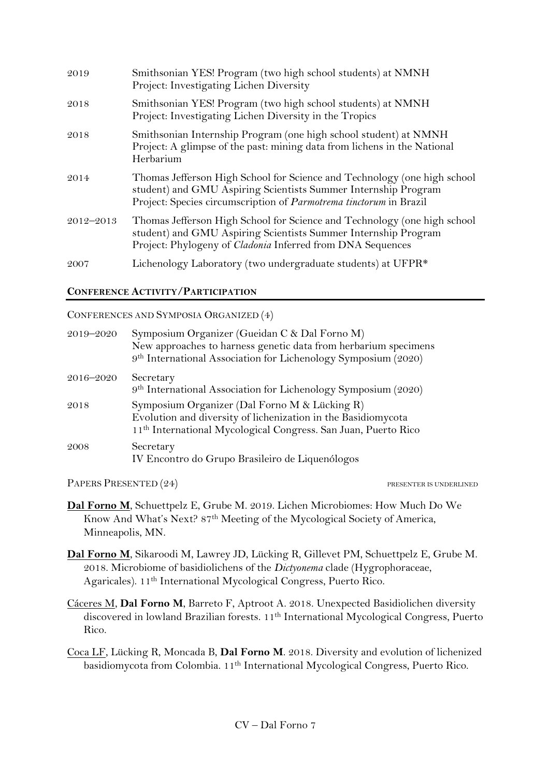| 2019          | Smithsonian YES! Program (two high school students) at NMNH<br>Project: Investigating Lichen Diversity                                                                                                           |
|---------------|------------------------------------------------------------------------------------------------------------------------------------------------------------------------------------------------------------------|
| 2018          | Smithsonian YES! Program (two high school students) at NMNH<br>Project: Investigating Lichen Diversity in the Tropics                                                                                            |
| 2018          | Smithsonian Internship Program (one high school student) at NMNH<br>Project: A glimpse of the past: mining data from lichens in the National<br>Herbarium                                                        |
| 2014          | Thomas Jefferson High School for Science and Technology (one high school<br>student) and GMU Aspiring Scientists Summer Internship Program<br>Project: Species circumscription of Parmotrema tinctorum in Brazil |
| $2012 - 2013$ | Thomas Jefferson High School for Science and Technology (one high school<br>student) and GMU Aspiring Scientists Summer Internship Program<br>Project: Phylogeny of Cladonia Inferred from DNA Sequences         |
| 2007          | Lichenology Laboratory (two undergraduate students) at UFPR*                                                                                                                                                     |

### **CONFERENCE ACTIVITY/PARTICIPATION**

### CONFERENCES AND SYMPOSIA ORGANIZED (4)

| 2019-2020 | Symposium Organizer (Gueidan C & Dal Forno M)<br>New approaches to harness genetic data from herbarium specimens<br>9 <sup>th</sup> International Association for Lichenology Symposium (2020) |
|-----------|------------------------------------------------------------------------------------------------------------------------------------------------------------------------------------------------|
| 2016–2020 | Secretary<br>9 <sup>th</sup> International Association for Lichenology Symposium (2020)                                                                                                        |
| 2018      | Symposium Organizer (Dal Forno M & Lücking R)<br>Evolution and diversity of lichenization in the Basidiomycota<br>11 <sup>th</sup> International Mycological Congress. San Juan, Puerto Rico   |
| 2008      | Secretary<br>IV Encontro do Grupo Brasileiro de Liquenólogos                                                                                                                                   |

PAPERS PRESENTED (24) PRESENTED (24)

- **Dal Forno M**, Schuettpelz E, Grube M. 2019. Lichen Microbiomes: How Much Do We Know And What's Next? 87th Meeting of the Mycological Society of America, Minneapolis, MN.
- **Dal Forno M**, Sikaroodi M, Lawrey JD, Lücking R, Gillevet PM, Schuettpelz E, Grube M. 2018. Microbiome of basidiolichens of the *Dictyonema* clade (Hygrophoraceae, Agaricales). 11th International Mycological Congress, Puerto Rico.
- Cáceres M, **Dal Forno M**, Barreto F, Aptroot A. 2018. Unexpected Basidiolichen diversity discovered in lowland Brazilian forests. 11<sup>th</sup> International Mycological Congress, Puerto Rico.
- Coca LF, Lücking R, Moncada B, **Dal Forno M**. 2018. Diversity and evolution of lichenized basidiomycota from Colombia. 11th International Mycological Congress, Puerto Rico.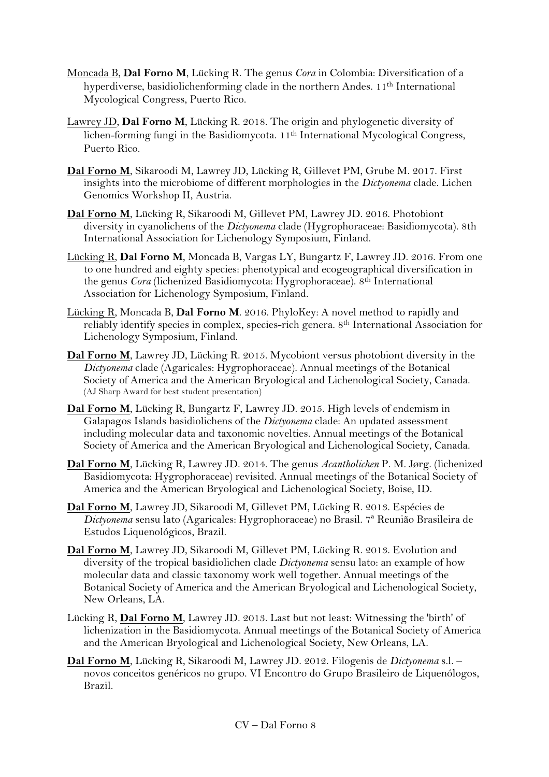- Moncada B, **Dal Forno M**, Lücking R. The genus *Cora* in Colombia: Diversification of a hyperdiverse, basidiolichenforming clade in the northern Andes. 11<sup>th</sup> International Mycological Congress, Puerto Rico.
- Lawrey JD, **Dal Forno M**, Lücking R. 2018. The origin and phylogenetic diversity of lichen-forming fungi in the Basidiomycota. 11th International Mycological Congress, Puerto Rico.
- **Dal Forno M**, Sikaroodi M, Lawrey JD, Lücking R, Gillevet PM, Grube M. 2017. First insights into the microbiome of different morphologies in the *Dictyonema* clade. Lichen Genomics Workshop II, Austria.
- **Dal Forno M**, Lücking R, Sikaroodi M, Gillevet PM, Lawrey JD. 2016. Photobiont diversity in cyanolichens of the *Dictyonema* clade (Hygrophoraceae: Basidiomycota). 8th International Association for Lichenology Symposium, Finland.
- Lücking R, **Dal Forno M**, Moncada B, Vargas LY, Bungartz F, Lawrey JD. 2016. From one to one hundred and eighty species: phenotypical and ecogeographical diversification in the genus *Cora* (lichenized Basidiomycota: Hygrophoraceae). 8th International Association for Lichenology Symposium, Finland.
- Lücking R, Moncada B, **Dal Forno M**. 2016. PhyloKey: A novel method to rapidly and reliably identify species in complex, species-rich genera. 8<sup>th</sup> International Association for Lichenology Symposium, Finland.
- **Dal Forno M**, Lawrey JD, Lücking R. 2015. Mycobiont versus photobiont diversity in the *Dictyonema* clade (Agaricales: Hygrophoraceae). Annual meetings of the Botanical Society of America and the American Bryological and Lichenological Society, Canada. (AJ Sharp Award for best student presentation)
- **Dal Forno M**, Lücking R, Bungartz F, Lawrey JD. 2015. High levels of endemism in Galapagos Islands basidiolichens of the *Dictyonema* clade: An updated assessment including molecular data and taxonomic novelties. Annual meetings of the Botanical Society of America and the American Bryological and Lichenological Society, Canada.
- **Dal Forno M**, Lücking R, Lawrey JD. 2014. The genus *Acantholichen* P. M. Jørg. (lichenized Basidiomycota: Hygrophoraceae) revisited. Annual meetings of the Botanical Society of America and the American Bryological and Lichenological Society, Boise, ID.
- **Dal Forno M**, Lawrey JD, Sikaroodi M, Gillevet PM, Lücking R. 2013. Espécies de *Dictyonema* sensu lato (Agaricales: Hygrophoraceae) no Brasil. 7ª Reunião Brasileira de Estudos Liquenológicos, Brazil.
- **Dal Forno M**, Lawrey JD, Sikaroodi M, Gillevet PM, Lücking R. 2013. Evolution and diversity of the tropical basidiolichen clade *Dictyonema* sensu lato: an example of how molecular data and classic taxonomy work well together. Annual meetings of the Botanical Society of America and the American Bryological and Lichenological Society, New Orleans, LA.
- Lücking R, **Dal Forno M**, Lawrey JD. 2013. Last but not least: Witnessing the 'birth' of lichenization in the Basidiomycota. Annual meetings of the Botanical Society of America and the American Bryological and Lichenological Society, New Orleans, LA.
- **Dal Forno M**, Lücking R, Sikaroodi M, Lawrey JD. 2012. Filogenis de *Dictyonema* s.l. novos conceitos genéricos no grupo. VI Encontro do Grupo Brasileiro de Liquenólogos, Brazil.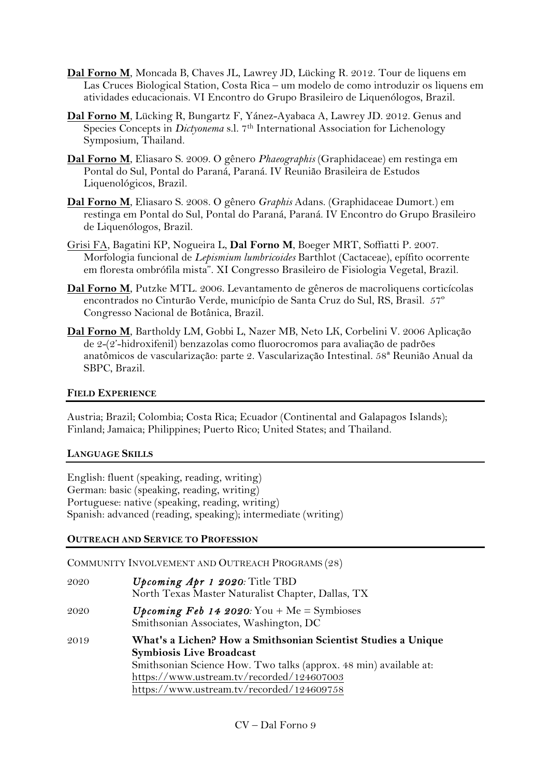- **Dal Forno M**, Moncada B, Chaves JL, Lawrey JD, Lücking R. 2012. Tour de liquens em Las Cruces Biological Station, Costa Rica – um modelo de como introduzir os liquens em atividades educacionais. VI Encontro do Grupo Brasileiro de Liquenólogos, Brazil.
- **Dal Forno M**, Lücking R, Bungartz F, Yánez-Ayabaca A, Lawrey JD. 2012. Genus and Species Concepts in *Dictyonema* s.l. 7th International Association for Lichenology Symposium, Thailand.
- **Dal Forno M**, Eliasaro S. 2009. O gênero *Phaeographis* (Graphidaceae) em restinga em Pontal do Sul, Pontal do Paraná, Paraná. IV Reunião Brasileira de Estudos Liquenológicos, Brazil.
- **Dal Forno M**, Eliasaro S. 2008. O gênero *Graphis* Adans. (Graphidaceae Dumort.) em restinga em Pontal do Sul, Pontal do Paraná, Paraná. IV Encontro do Grupo Brasileiro de Liquenólogos, Brazil.
- Grisi FA, Bagatini KP, Nogueira L, **Dal Forno M**, Boeger MRT, Soffiatti P. 2007. Morfologia funcional de *Lepismium lumbricoides* Barthlot (Cactaceae), epífito ocorrente em floresta ombrófila mista". XI Congresso Brasileiro de Fisiologia Vegetal, Brazil.
- **Dal Forno M**, Putzke MTL. 2006. Levantamento de gêneros de macroliquens corticícolas encontrados no Cinturão Verde, município de Santa Cruz do Sul, RS, Brasil. 57º Congresso Nacional de Botânica, Brazil.
- **Dal Forno M**, Bartholdy LM, Gobbi L, Nazer MB, Neto LK, Corbelini V. 2006 Aplicação de 2-(2'-hidroxifenil) benzazolas como fluorocromos para avaliação de padrões anatômicos de vascularização: parte 2. Vascularização Intestinal. 58ª Reunião Anual da SBPC, Brazil.

### **FIELD EXPERIENCE**

Austria; Brazil; Colombia; Costa Rica; Ecuador (Continental and Galapagos Islands); Finland; Jamaica; Philippines; Puerto Rico; United States; and Thailand.

## **LANGUAGE SKILLS**

English: fluent (speaking, reading, writing) German: basic (speaking, reading, writing) Portuguese: native (speaking, reading, writing) Spanish: advanced (reading, speaking); intermediate (writing)

### **OUTREACH AND SERVICE TO PROFESSION**

COMMUNITY INVOLVEMENT AND OUTREACH PROGRAMS (28)

| 2020 | Upcoming Apr 1 2020: Title TBD<br>North Texas Master Naturalist Chapter, Dallas, TX              |
|------|--------------------------------------------------------------------------------------------------|
| 2020 | <i>Upcoming Feb 14 2020:</i> You + Me = Symbioses<br>Smithsonian Associates, Washington, DC      |
| 2019 | What's a Lichen? How a Smithsonian Scientist Studies a Unique<br><b>Symbiosis Live Broadcast</b> |
|      | Smithsonian Science How. Two talks (approx. 48 min) available at:                                |
|      | https://www.ustream.tv/recorded/124607003                                                        |
|      | https://www.ustream.tv/recorded/124609758                                                        |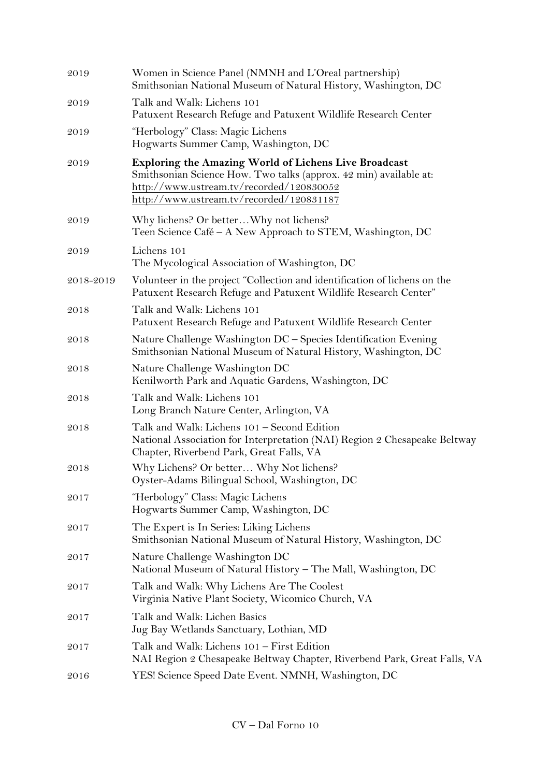| 2019      | Women in Science Panel (NMNH and L'Oreal partnership)<br>Smithsonian National Museum of Natural History, Washington, DC                                                                                                   |
|-----------|---------------------------------------------------------------------------------------------------------------------------------------------------------------------------------------------------------------------------|
| 2019      | Talk and Walk: Lichens 101<br>Patuxent Research Refuge and Patuxent Wildlife Research Center                                                                                                                              |
| 2019      | "Herbology" Class: Magic Lichens<br>Hogwarts Summer Camp, Washington, DC                                                                                                                                                  |
| 2019      | <b>Exploring the Amazing World of Lichens Live Broadcast</b><br>Smithsonian Science How. Two talks (approx. 42 min) available at:<br>http://www.ustream.tv/recorded/120830052<br>http://www.ustream.tv/recorded/120831187 |
| 2019      | Why lichens? Or betterWhy not lichens?<br>Teen Science Café - A New Approach to STEM, Washington, DC                                                                                                                      |
| 2019      | Lichens 101<br>The Mycological Association of Washington, DC                                                                                                                                                              |
| 2018-2019 | Volunteer in the project "Collection and identification of lichens on the<br>Patuxent Research Refuge and Patuxent Wildlife Research Center"                                                                              |
| 2018      | Talk and Walk: Lichens 101<br>Patuxent Research Refuge and Patuxent Wildlife Research Center                                                                                                                              |
| 2018      | Nature Challenge Washington DC - Species Identification Evening<br>Smithsonian National Museum of Natural History, Washington, DC                                                                                         |
| 2018      | Nature Challenge Washington DC<br>Kenilworth Park and Aquatic Gardens, Washington, DC                                                                                                                                     |
| 2018      | Talk and Walk: Lichens 101<br>Long Branch Nature Center, Arlington, VA                                                                                                                                                    |
| 2018      | Talk and Walk: Lichens 101 - Second Edition<br>National Association for Interpretation (NAI) Region 2 Chesapeake Beltway<br>Chapter, Riverbend Park, Great Falls, VA                                                      |
| 2018      | Why Lichens? Or better Why Not lichens?<br>Oyster-Adams Bilingual School, Washington, DC                                                                                                                                  |
| 2017      | "Herbology" Class: Magic Lichens<br>Hogwarts Summer Camp, Washington, DC                                                                                                                                                  |
| 2017      | The Expert is In Series: Liking Lichens<br>Smithsonian National Museum of Natural History, Washington, DC                                                                                                                 |
| 2017      | Nature Challenge Washington DC<br>National Museum of Natural History - The Mall, Washington, DC                                                                                                                           |
| 2017      | Talk and Walk: Why Lichens Are The Coolest<br>Virginia Native Plant Society, Wicomico Church, VA                                                                                                                          |
| 2017      | Talk and Walk: Lichen Basics<br>Jug Bay Wetlands Sanctuary, Lothian, MD                                                                                                                                                   |
| 2017      | Talk and Walk: Lichens 101 - First Edition<br>NAI Region 2 Chesapeake Beltway Chapter, Riverbend Park, Great Falls, VA                                                                                                    |
| 2016      | YES! Science Speed Date Event. NMNH, Washington, DC                                                                                                                                                                       |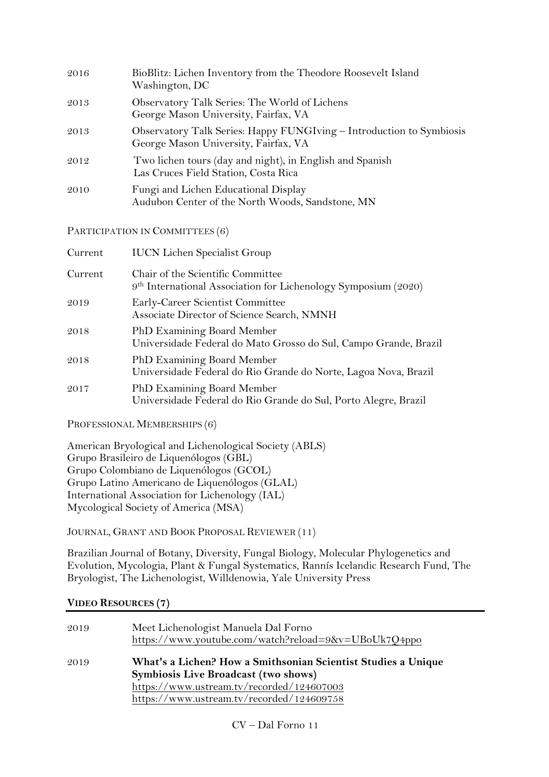| 2016 | BioBlitz: Lichen Inventory from the Theodore Roosevelt Island<br>Washington, DC                              |
|------|--------------------------------------------------------------------------------------------------------------|
| 2013 | Observatory Talk Series: The World of Lichens<br>George Mason University, Fairfax, VA                        |
| 2013 | Observatory Talk Series: Happy FUNGIving - Introduction to Symbiosis<br>George Mason University, Fairfax, VA |
| 2012 | Two lichen tours (day and night), in English and Spanish<br>Las Cruces Field Station, Costa Rica             |
| 2010 | Fungi and Lichen Educational Display<br>Audubon Center of the North Woods, Sandstone, MN                     |
|      |                                                                                                              |

PARTICIPATION IN COMMITTEES (6)

| Current | <b>IUCN Lichen Specialist Group</b>                                                                             |
|---------|-----------------------------------------------------------------------------------------------------------------|
| Current | Chair of the Scientific Committee<br>9 <sup>th</sup> International Association for Lichenology Symposium (2020) |
| 2019    | Early-Career Scientist Committee<br>Associate Director of Science Search, NMNH                                  |
| 2018    | PhD Examining Board Member<br>Universidade Federal do Mato Grosso do Sul, Campo Grande, Brazil                  |
| 2018    | PhD Examining Board Member<br>Universidade Federal do Rio Grande do Norte, Lagoa Nova, Brazil                   |
| 2017    | PhD Examining Board Member<br>Universidade Federal do Rio Grande do Sul, Porto Alegre, Brazil                   |

PROFESSIONAL MEMBERSHIPS (6)

American Bryological and Lichenological Society (ABLS) Grupo Brasileiro de Liquenólogos (GBL) Grupo Colombiano de Liquenólogos (GCOL) Grupo Latino Americano de Liquenólogos (GLAL) International Association for Lichenology (IAL) Mycological Society of America (MSA)

JOURNAL, GRANT AND BOOK PROPOSAL REVIEWER (11)

Brazilian Journal of Botany, Diversity, Fungal Biology, Molecular Phylogenetics and Evolution, Mycologia, Plant & Fungal Systematics, Rannís Icelandic Research Fund, The Bryologist, The Lichenologist, Willdenowia, Yale University Press

## **VIDEO RESOURCES (7)**

| 2019 | Meet Lichenologist Manuela Dal Forno<br>https://www.youtube.com/watch?reload=9&v=UBoUk7Q4ppo                                                                                                    |
|------|-------------------------------------------------------------------------------------------------------------------------------------------------------------------------------------------------|
| 2019 | What's a Lichen? How a Smithsonian Scientist Studies a Unique<br>Symbiosis Live Broadcast (two shows)<br>https://www.ustream.tv/recorded/124607003<br>https://www.ustream.tv/recorded/124609758 |